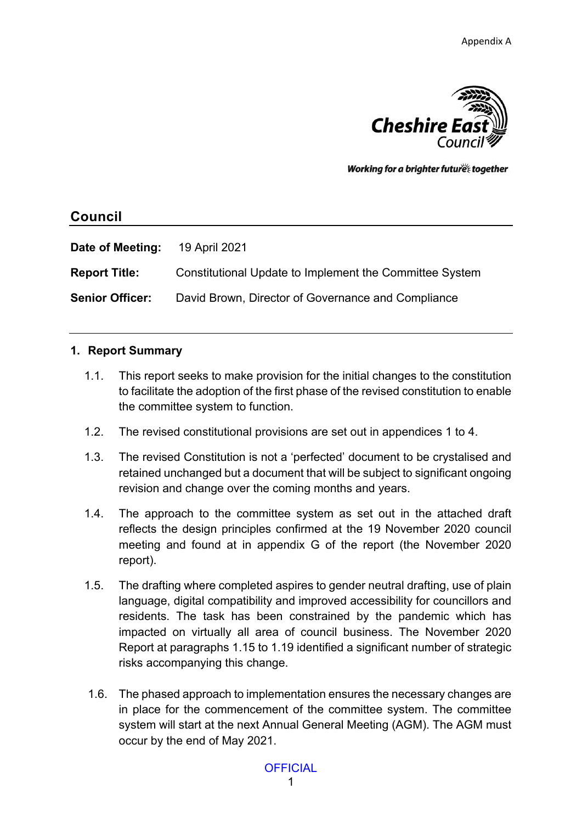

Working for a brighter futures together

# **Council**

| Date of Meeting:       | 19 April 2021                                           |
|------------------------|---------------------------------------------------------|
| <b>Report Title:</b>   | Constitutional Update to Implement the Committee System |
| <b>Senior Officer:</b> | David Brown, Director of Governance and Compliance      |

### **1. Report Summary**

- 1.1. This report seeks to make provision for the initial changes to the constitution to facilitate the adoption of the first phase of the revised constitution to enable the committee system to function.
- 1.2. The revised constitutional provisions are set out in appendices 1 to 4.
- 1.3. The revised Constitution is not a 'perfected' document to be crystalised and retained unchanged but a document that will be subject to significant ongoing revision and change over the coming months and years.
- 1.4. The approach to the committee system as set out in the attached draft reflects the design principles confirmed at the 19 November 2020 council meeting and found at in appendix G of the report (the November 2020 report).
- 1.5. The drafting where completed aspires to gender neutral drafting, use of plain language, digital compatibility and improved accessibility for councillors and residents. The task has been constrained by the pandemic which has impacted on virtually all area of council business. The November 2020 Report at paragraphs 1.15 to 1.19 identified a significant number of strategic risks accompanying this change.
- 1.6. The phased approach to implementation ensures the necessary changes are in place for the commencement of the committee system. The committee system will start at the next Annual General Meeting (AGM). The AGM must occur by the end of May 2021.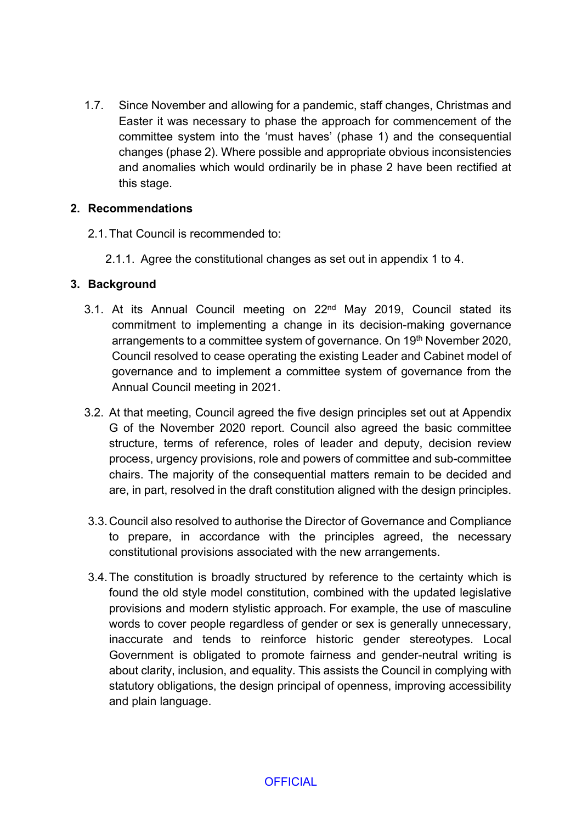1.7. Since November and allowing for a pandemic, staff changes, Christmas and Easter it was necessary to phase the approach for commencement of the committee system into the 'must haves' (phase 1) and the consequential changes (phase 2). Where possible and appropriate obvious inconsistencies and anomalies which would ordinarily be in phase 2 have been rectified at this stage.

### **2. Recommendations**

- 2.1. That Council is recommended to:
	- 2.1.1. Agree the constitutional changes as set out in appendix 1 to 4.

### **3. Background**

- 3.1. At its Annual Council meeting on 22nd May 2019, Council stated its commitment to implementing a change in its decision-making governance arrangements to a committee system of governance. On 19th November 2020, Council resolved to cease operating the existing Leader and Cabinet model of governance and to implement a committee system of governance from the Annual Council meeting in 2021.
- 3.2. At that meeting, Council agreed the five design principles set out at Appendix G of the November 2020 report. Council also agreed the basic committee structure, terms of reference, roles of leader and deputy, decision review process, urgency provisions, role and powers of committee and sub-committee chairs. The majority of the consequential matters remain to be decided and are, in part, resolved in the draft constitution aligned with the design principles.
- 3.3.Council also resolved to authorise the Director of Governance and Compliance to prepare, in accordance with the principles agreed, the necessary constitutional provisions associated with the new arrangements.
- 3.4.The constitution is broadly structured by reference to the certainty which is found the old style model constitution, combined with the updated legislative provisions and modern stylistic approach. For example, the use of masculine words to cover people regardless of gender or sex is generally unnecessary, inaccurate and tends to reinforce historic gender stereotypes. Local Government is obligated to promote fairness and gender-neutral writing is about clarity, inclusion, and equality. This assists the Council in complying with statutory obligations, the design principal of openness, improving accessibility and plain language.

**OFFICIAL**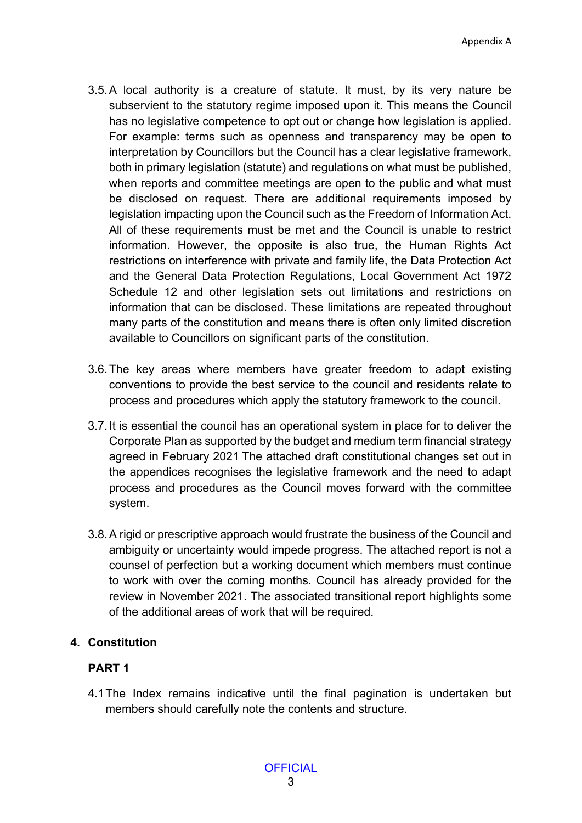- 3.5.A local authority is a creature of statute. It must, by its very nature be subservient to the statutory regime imposed upon it. This means the Council has no legislative competence to opt out or change how legislation is applied. For example: terms such as openness and transparency may be open to interpretation by Councillors but the Council has a clear legislative framework, both in primary legislation (statute) and regulations on what must be published, when reports and committee meetings are open to the public and what must be disclosed on request. There are additional requirements imposed by legislation impacting upon the Council such as the Freedom of Information Act. All of these requirements must be met and the Council is unable to restrict information. However, the opposite is also true, the Human Rights Act restrictions on interference with private and family life, the Data Protection Act and the General Data Protection Regulations, Local Government Act 1972 Schedule 12 and other legislation sets out limitations and restrictions on information that can be disclosed. These limitations are repeated throughout many parts of the constitution and means there is often only limited discretion available to Councillors on significant parts of the constitution.
- 3.6.The key areas where members have greater freedom to adapt existing conventions to provide the best service to the council and residents relate to process and procedures which apply the statutory framework to the council.
- 3.7.It is essential the council has an operational system in place for to deliver the Corporate Plan as supported by the budget and medium term financial strategy agreed in February 2021 The attached draft constitutional changes set out in the appendices recognises the legislative framework and the need to adapt process and procedures as the Council moves forward with the committee system.
- 3.8.A rigid or prescriptive approach would frustrate the business of the Council and ambiguity or uncertainty would impede progress. The attached report is not a counsel of perfection but a working document which members must continue to work with over the coming months. Council has already provided for the review in November 2021. The associated transitional report highlights some of the additional areas of work that will be required.

# **4. Constitution**

# **PART 1**

4.1The Index remains indicative until the final pagination is undertaken but members should carefully note the contents and structure.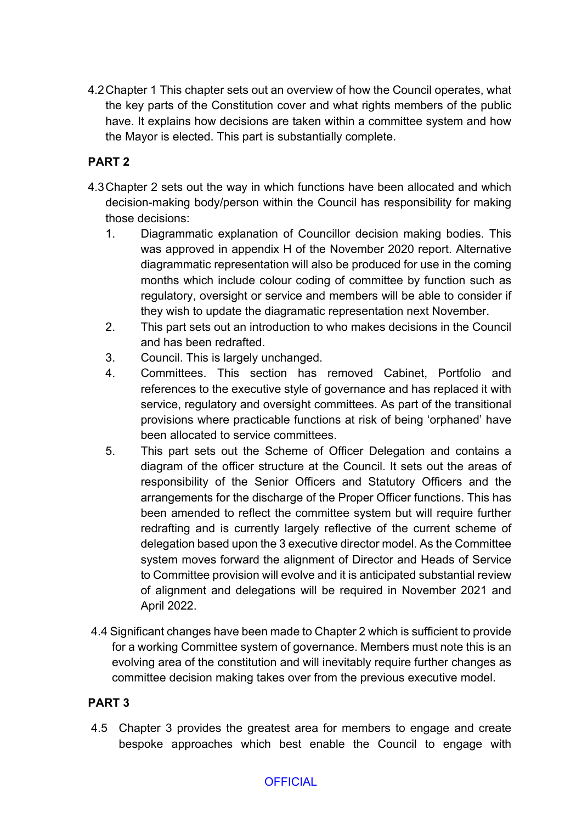4.2Chapter 1 This chapter sets out an overview of how the Council operates, what the key parts of the Constitution cover and what rights members of the public have. It explains how decisions are taken within a committee system and how the Mayor is elected. This part is substantially complete.

# **PART 2**

- 4.3Chapter 2 sets out the way in which functions have been allocated and which decision-making body/person within the Council has responsibility for making those decisions:
	- 1. Diagrammatic explanation of Councillor decision making bodies. This was approved in appendix H of the November 2020 report. Alternative diagrammatic representation will also be produced for use in the coming months which include colour coding of committee by function such as regulatory, oversight or service and members will be able to consider if they wish to update the diagramatic representation next November.
	- 2. This part sets out an introduction to who makes decisions in the Council and has been redrafted.
	- 3. Council. This is largely unchanged.
	- 4. Committees. This section has removed Cabinet, Portfolio and references to the executive style of governance and has replaced it with service, regulatory and oversight committees. As part of the transitional provisions where practicable functions at risk of being 'orphaned' have been allocated to service committees.
	- 5. This part sets out the Scheme of Officer Delegation and contains a diagram of the officer structure at the Council. It sets out the areas of responsibility of the Senior Officers and Statutory Officers and the arrangements for the discharge of the Proper Officer functions. This has been amended to reflect the committee system but will require further redrafting and is currently largely reflective of the current scheme of delegation based upon the 3 executive director model. As the Committee system moves forward the alignment of Director and Heads of Service to Committee provision will evolve and it is anticipated substantial review of alignment and delegations will be required in November 2021 and April 2022.
- 4.4 Significant changes have been made to Chapter 2 which is sufficient to provide for a working Committee system of governance. Members must note this is an evolving area of the constitution and will inevitably require further changes as committee decision making takes over from the previous executive model.

# **PART 3**

4.5 Chapter 3 provides the greatest area for members to engage and create bespoke approaches which best enable the Council to engage with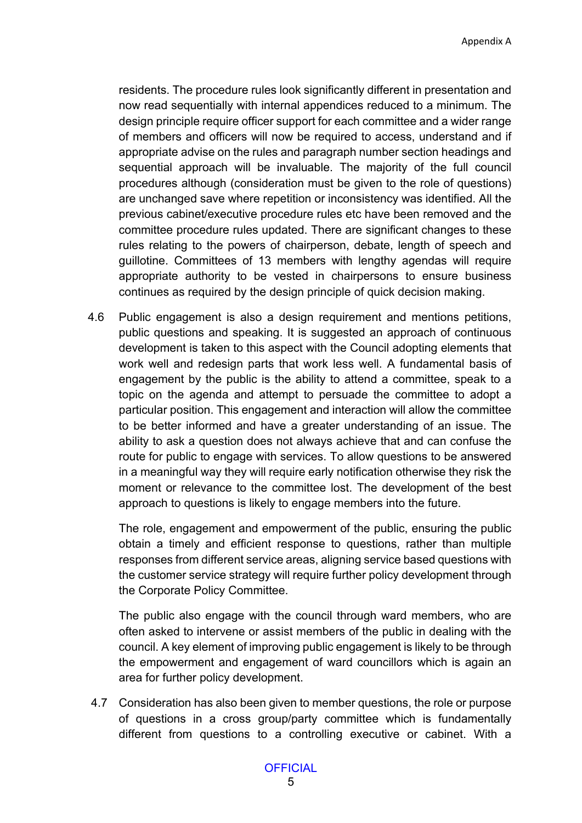residents. The procedure rules look significantly different in presentation and now read sequentially with internal appendices reduced to a minimum. The design principle require officer support for each committee and a wider range of members and officers will now be required to access, understand and if appropriate advise on the rules and paragraph number section headings and sequential approach will be invaluable. The majority of the full council procedures although (consideration must be given to the role of questions) are unchanged save where repetition or inconsistency was identified. All the previous cabinet/executive procedure rules etc have been removed and the committee procedure rules updated. There are significant changes to these rules relating to the powers of chairperson, debate, length of speech and guillotine. Committees of 13 members with lengthy agendas will require appropriate authority to be vested in chairpersons to ensure business continues as required by the design principle of quick decision making.

4.6 Public engagement is also a design requirement and mentions petitions, public questions and speaking. It is suggested an approach of continuous development is taken to this aspect with the Council adopting elements that work well and redesign parts that work less well. A fundamental basis of engagement by the public is the ability to attend a committee, speak to a topic on the agenda and attempt to persuade the committee to adopt a particular position. This engagement and interaction will allow the committee to be better informed and have a greater understanding of an issue. The ability to ask a question does not always achieve that and can confuse the route for public to engage with services. To allow questions to be answered in a meaningful way they will require early notification otherwise they risk the moment or relevance to the committee lost. The development of the best approach to questions is likely to engage members into the future.

The role, engagement and empowerment of the public, ensuring the public obtain a timely and efficient response to questions, rather than multiple responses from different service areas, aligning service based questions with the customer service strategy will require further policy development through the Corporate Policy Committee.

The public also engage with the council through ward members, who are often asked to intervene or assist members of the public in dealing with the council. A key element of improving public engagement is likely to be through the empowerment and engagement of ward councillors which is again an area for further policy development.

4.7 Consideration has also been given to member questions, the role or purpose of questions in a cross group/party committee which is fundamentally different from questions to a controlling executive or cabinet. With a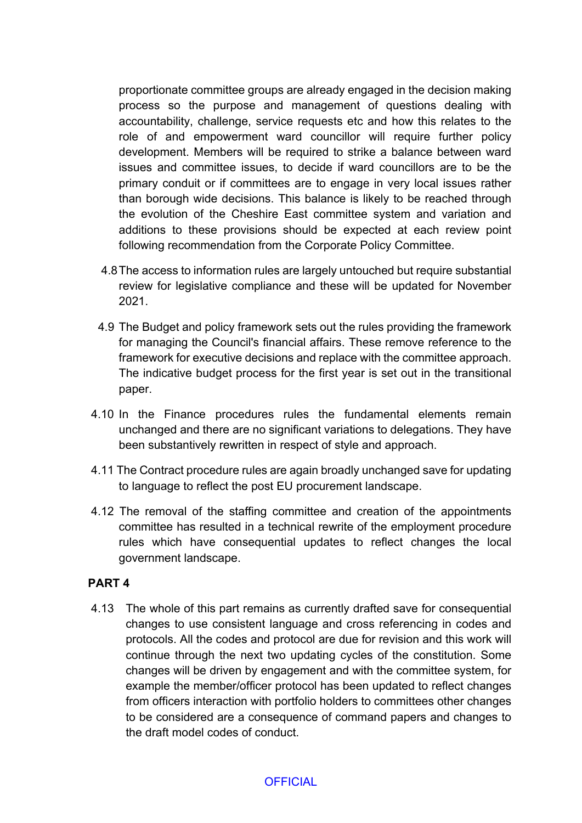proportionate committee groups are already engaged in the decision making process so the purpose and management of questions dealing with accountability, challenge, service requests etc and how this relates to the role of and empowerment ward councillor will require further policy development. Members will be required to strike a balance between ward issues and committee issues, to decide if ward councillors are to be the primary conduit or if committees are to engage in very local issues rather than borough wide decisions. This balance is likely to be reached through the evolution of the Cheshire East committee system and variation and additions to these provisions should be expected at each review point following recommendation from the Corporate Policy Committee.

- 4.8The access to information rules are largely untouched but require substantial review for legislative compliance and these will be updated for November 2021.
- 4.9 The Budget and policy framework sets out the rules providing the framework for managing the Council's financial affairs. These remove reference to the framework for executive decisions and replace with the committee approach. The indicative budget process for the first year is set out in the transitional paper.
- 4.10 In the Finance procedures rules the fundamental elements remain unchanged and there are no significant variations to delegations. They have been substantively rewritten in respect of style and approach.
- 4.11 The Contract procedure rules are again broadly unchanged save for updating to language to reflect the post EU procurement landscape.
- 4.12 The removal of the staffing committee and creation of the appointments committee has resulted in a technical rewrite of the employment procedure rules which have consequential updates to reflect changes the local government landscape.

#### **PART 4**

4.13 The whole of this part remains as currently drafted save for consequential changes to use consistent language and cross referencing in codes and protocols. All the codes and protocol are due for revision and this work will continue through the next two updating cycles of the constitution. Some changes will be driven by engagement and with the committee system, for example the member/officer protocol has been updated to reflect changes from officers interaction with portfolio holders to committees other changes to be considered are a consequence of command papers and changes to the draft model codes of conduct.

#### **OFFICIAL**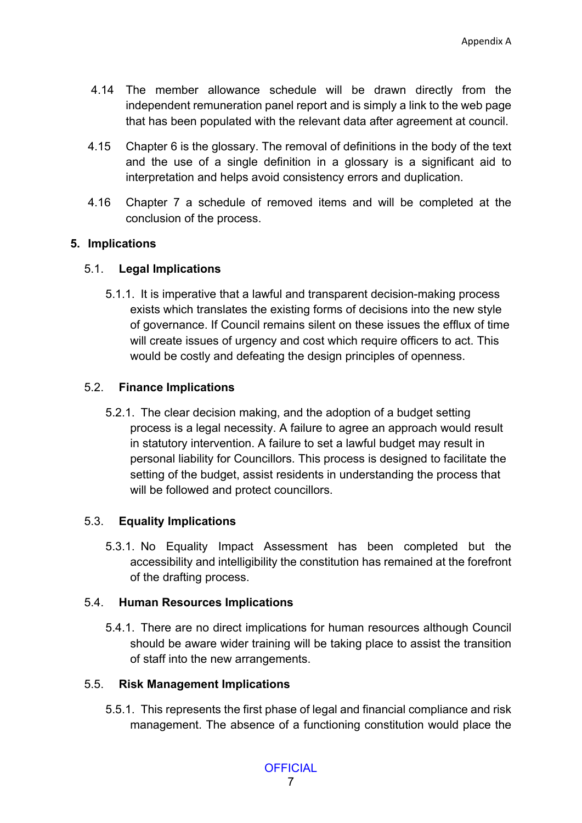- 4.14 The member allowance schedule will be drawn directly from the independent remuneration panel report and is simply a link to the web page that has been populated with the relevant data after agreement at council.
- 4.15 Chapter 6 is the glossary. The removal of definitions in the body of the text and the use of a single definition in a glossary is a significant aid to interpretation and helps avoid consistency errors and duplication.
- 4.16 Chapter 7 a schedule of removed items and will be completed at the conclusion of the process.

### **5. Implications**

### 5.1. **Legal Implications**

5.1.1. It is imperative that a lawful and transparent decision-making process exists which translates the existing forms of decisions into the new style of governance. If Council remains silent on these issues the efflux of time will create issues of urgency and cost which require officers to act. This would be costly and defeating the design principles of openness.

### 5.2. **Finance Implications**

5.2.1. The clear decision making, and the adoption of a budget setting process is a legal necessity. A failure to agree an approach would result in statutory intervention. A failure to set a lawful budget may result in personal liability for Councillors. This process is designed to facilitate the setting of the budget, assist residents in understanding the process that will be followed and protect councillors.

# 5.3. **Equality Implications**

5.3.1. No Equality Impact Assessment has been completed but the accessibility and intelligibility the constitution has remained at the forefront of the drafting process.

#### 5.4. **Human Resources Implications**

5.4.1. There are no direct implications for human resources although Council should be aware wider training will be taking place to assist the transition of staff into the new arrangements.

#### 5.5. **Risk Management Implications**

5.5.1. This represents the first phase of legal and financial compliance and risk management. The absence of a functioning constitution would place the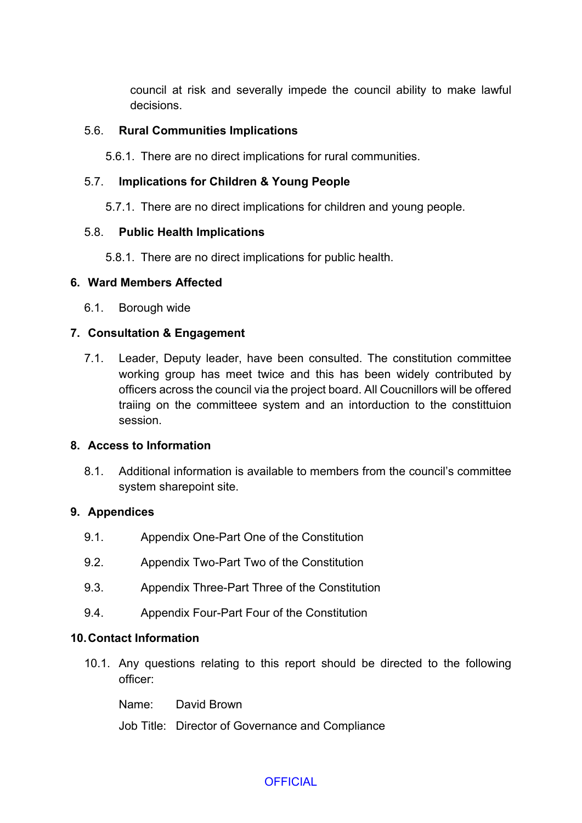council at risk and severally impede the council ability to make lawful decisions.

### 5.6. **Rural Communities Implications**

5.6.1. There are no direct implications for rural communities.

### 5.7. **Implications for Children & Young People**

5.7.1. There are no direct implications for children and young people.

### 5.8. **Public Health Implications**

5.8.1. There are no direct implications for public health.

### **6. Ward Members Affected**

6.1. Borough wide

# **7. Consultation & Engagement**

7.1. Leader, Deputy leader, have been consulted. The constitution committee working group has meet twice and this has been widely contributed by officers across the council via the project board. All Coucnillors will be offered traiing on the committeee system and an intorduction to the constittuion session.

# **8. Access to Information**

8.1. Additional information is available to members from the council's committee system sharepoint site.

# **9. Appendices**

- 9.1. Appendix One-Part One of the Constitution
- 9.2. Appendix Two-Part Two of the Constitution
- 9.3. Appendix Three-Part Three of the Constitution
- 9.4. Appendix Four-Part Four of the Constitution

#### **10.Contact Information**

10.1. Any questions relating to this report should be directed to the following officer:

Name: David Brown

Job Title: Director of Governance and Compliance

# **OFFICIAL**